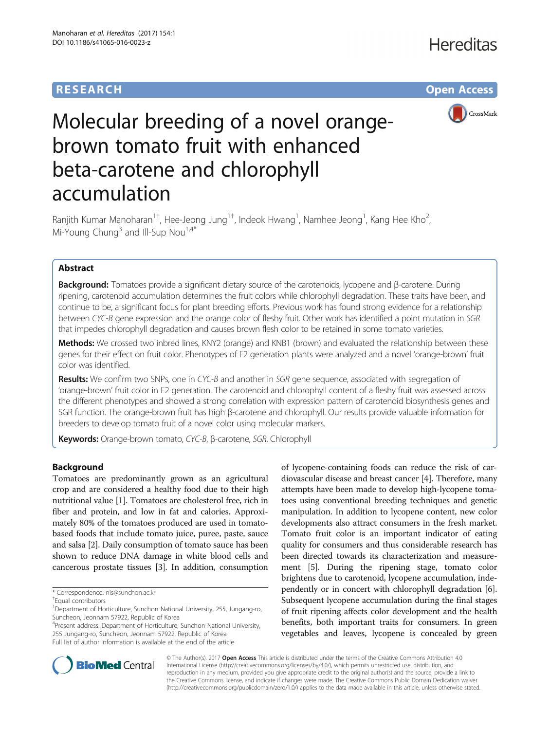# **RESEARCH CHE Open Access**



# Molecular breeding of a novel orangebrown tomato fruit with enhanced beta-carotene and chlorophyll accumulation

Ranjith Kumar Manoharan<sup>1†</sup>, Hee-Jeong Jung<sup>1†</sup>, Indeok Hwang<sup>1</sup>, Namhee Jeong<sup>1</sup>, Kang Hee Kho<sup>2</sup> .<br>, Mi-Young Chung<sup>3</sup> and Ill-Sup Nou<sup>1,4\*</sup>

## Abstract

Background: Tomatoes provide a significant dietary source of the carotenoids, lycopene and β-carotene. During ripening, carotenoid accumulation determines the fruit colors while chlorophyll degradation. These traits have been, and continue to be, a significant focus for plant breeding efforts. Previous work has found strong evidence for a relationship between CYC-B gene expression and the orange color of fleshy fruit. Other work has identified a point mutation in SGR that impedes chlorophyll degradation and causes brown flesh color to be retained in some tomato varieties.

Methods: We crossed two inbred lines, KNY2 (orange) and KNB1 (brown) and evaluated the relationship between these genes for their effect on fruit color. Phenotypes of F2 generation plants were analyzed and a novel 'orange-brown' fruit color was identified.

Results: We confirm two SNPs, one in CYC-B and another in SGR gene sequence, associated with segregation of 'orange-brown' fruit color in F2 generation. The carotenoid and chlorophyll content of a fleshy fruit was assessed across the different phenotypes and showed a strong correlation with expression pattern of carotenoid biosynthesis genes and SGR function. The orange-brown fruit has high β-carotene and chlorophyll. Our results provide valuable information for breeders to develop tomato fruit of a novel color using molecular markers.

Keywords: Orange-brown tomato, CYC-B, β-carotene, SGR, Chlorophyll

## Background

Tomatoes are predominantly grown as an agricultural crop and are considered a healthy food due to their high nutritional value [\[1](#page-6-0)]. Tomatoes are cholesterol free, rich in fiber and protein, and low in fat and calories. Approximately 80% of the tomatoes produced are used in tomatobased foods that include tomato juice, puree, paste, sauce and salsa [\[2](#page-6-0)]. Daily consumption of tomato sauce has been shown to reduce DNA damage in white blood cells and cancerous prostate tissues [\[3](#page-6-0)]. In addition, consumption

4 Present address: Department of Horticulture, Sunchon National University, 255 Jungang-ro, Suncheon, Jeonnam 57922, Republic of Korea Full list of author information is available at the end of the article

of lycopene-containing foods can reduce the risk of cardiovascular disease and breast cancer [\[4](#page-6-0)]. Therefore, many attempts have been made to develop high-lycopene tomatoes using conventional breeding techniques and genetic manipulation. In addition to lycopene content, new color developments also attract consumers in the fresh market. Tomato fruit color is an important indicator of eating quality for consumers and thus considerable research has been directed towards its characterization and measurement [\[5](#page-6-0)]. During the ripening stage, tomato color brightens due to carotenoid, lycopene accumulation, independently or in concert with chlorophyll degradation [[6](#page-6-0)]. Subsequent lycopene accumulation during the final stages of fruit ripening affects color development and the health benefits, both important traits for consumers. In green vegetables and leaves, lycopene is concealed by green



© The Author(s). 2017 **Open Access** This article is distributed under the terms of the Creative Commons Attribution 4.0 International License [\(http://creativecommons.org/licenses/by/4.0/](http://creativecommons.org/licenses/by/4.0/)), which permits unrestricted use, distribution, and reproduction in any medium, provided you give appropriate credit to the original author(s) and the source, provide a link to the Creative Commons license, and indicate if changes were made. The Creative Commons Public Domain Dedication waiver [\(http://creativecommons.org/publicdomain/zero/1.0/](http://creativecommons.org/publicdomain/zero/1.0/)) applies to the data made available in this article, unless otherwise stated.

<sup>\*</sup> Correspondence: [nis@sunchon.ac.kr](mailto:nis@sunchon.ac.kr) †

Equal contributors

<sup>&</sup>lt;sup>1</sup>Department of Horticulture, Sunchon National University, 255, Jungang-ro, Suncheon, Jeonnam 57922, Republic of Korea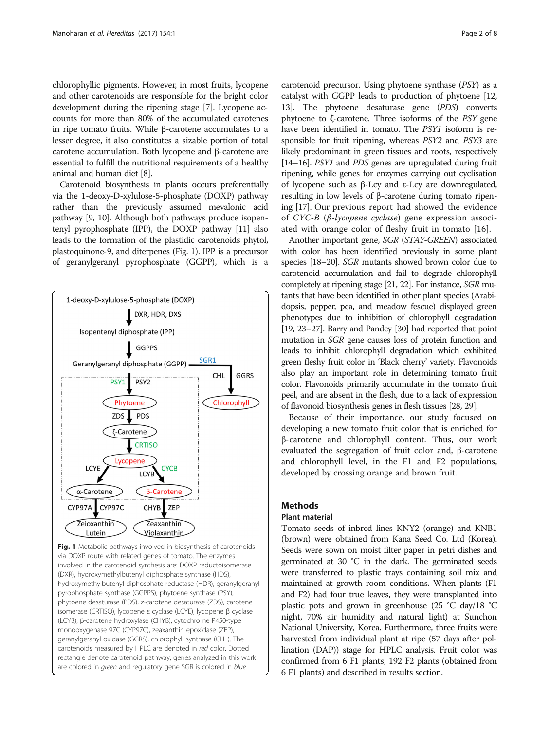chlorophyllic pigments. However, in most fruits, lycopene and other carotenoids are responsible for the bright color development during the ripening stage [[7\]](#page-6-0). Lycopene accounts for more than 80% of the accumulated carotenes in ripe tomato fruits. While β-carotene accumulates to a lesser degree, it also constitutes a sizable portion of total carotene accumulation. Both lycopene and β-carotene are essential to fulfill the nutritional requirements of a healthy animal and human diet [\[8](#page-6-0)].

Carotenoid biosynthesis in plants occurs preferentially via the 1-deoxy-D-xylulose-5-phosphate (DOXP) pathway rather than the previously assumed mevalonic acid pathway [[9, 10](#page-6-0)]. Although both pathways produce isopentenyl pyrophosphate (IPP), the DOXP pathway [\[11\]](#page-6-0) also leads to the formation of the plastidic carotenoids phytol, plastoquinone-9, and diterpenes (Fig. 1). IPP is a precursor of geranylgeranyl pyrophosphate (GGPP), which is a



Fig. 1 Metabolic pathways involved in biosynthesis of carotenoids via DOXP route with related genes of tomato. The enzymes involved in the carotenoid synthesis are: DOXP reductoisomerase (DXR), hydroxymethylbutenyl diphosphate synthase (HDS), hydroxymethylbutenyl diphosphate reductase (HDR), geranylgeranyl pyrophosphate synthase (GGPPS), phytoene synthase (PSY), phytoene desaturase (PDS), z-carotene desaturase (ZDS), carotene isomerase (CRTISO), lycopene ε cyclase (LCYE), lycopene β cyclase (LCYB), β-carotene hydroxylase (CHYB), cytochrome P450-type monooxygenase 97C (CYP97C), zeaxanthin epoxidase (ZEP), geranylgeranyl oxidase (GGRS), chlorophyll synthase (CHL). The carotenoids measured by HPLC are denoted in red color. Dotted rectangle denote carotenoid pathway, genes analyzed in this work are colored in *green* and regulatory gene SGR is colored in blue

carotenoid precursor. Using phytoene synthase (PSY) as a catalyst with GGPP leads to production of phytoene [\[12](#page-6-0), [13](#page-6-0)]. The phytoene desaturase gene (PDS) converts phytoene to ζ-carotene. Three isoforms of the  $PSY$  gene have been identified in tomato. The PSY1 isoform is responsible for fruit ripening, whereas PSY2 and PSY3 are likely predominant in green tissues and roots, respectively [[14](#page-6-0)–[16\]](#page-6-0). *PSY1* and *PDS* genes are upregulated during fruit ripening, while genes for enzymes carrying out cyclisation of lycopene such as β-Lcy and ε-Lcy are downregulated, resulting in low levels of β-carotene during tomato ripening [\[17\]](#page-6-0). Our previous report had showed the evidence of CYC-B (β-lycopene cyclase) gene expression associated with orange color of fleshy fruit in tomato [[16\]](#page-6-0).

Another important gene, SGR (STAY-GREEN) associated with color has been identified previously in some plant species [\[18](#page-6-0)–[20\]](#page-6-0). SGR mutants showed brown color due to carotenoid accumulation and fail to degrade chlorophyll completely at ripening stage [\[21, 22\]](#page-6-0). For instance, SGR mutants that have been identified in other plant species (Arabidopsis, pepper, pea, and meadow fescue) displayed green phenotypes due to inhibition of chlorophyll degradation [[19](#page-6-0), [23](#page-6-0)–[27\]](#page-6-0). Barry and Pandey [\[30\]](#page-6-0) had reported that point mutation in SGR gene causes loss of protein function and leads to inhibit chlorophyll degradation which exhibited green fleshy fruit color in 'Black cherry' variety. Flavonoids also play an important role in determining tomato fruit color. Flavonoids primarily accumulate in the tomato fruit peel, and are absent in the flesh, due to a lack of expression of flavonoid biosynthesis genes in flesh tissues [\[28, 29\]](#page-6-0).

Because of their importance, our study focused on developing a new tomato fruit color that is enriched for β-carotene and chlorophyll content. Thus, our work evaluated the segregation of fruit color and, β-carotene and chlorophyll level, in the F1 and F2 populations, developed by crossing orange and brown fruit.

## Methods

## Plant material

Tomato seeds of inbred lines KNY2 (orange) and KNB1 (brown) were obtained from Kana Seed Co. Ltd (Korea). Seeds were sown on moist filter paper in petri dishes and germinated at 30 °C in the dark. The germinated seeds were transferred to plastic trays containing soil mix and maintained at growth room conditions. When plants (F1 and F2) had four true leaves, they were transplanted into plastic pots and grown in greenhouse (25 °C day/18 °C night, 70% air humidity and natural light) at Sunchon National University, Korea. Furthermore, three fruits were harvested from individual plant at ripe (57 days after pollination (DAP)) stage for HPLC analysis. Fruit color was confirmed from 6 F1 plants, 192 F2 plants (obtained from 6 F1 plants) and described in results section.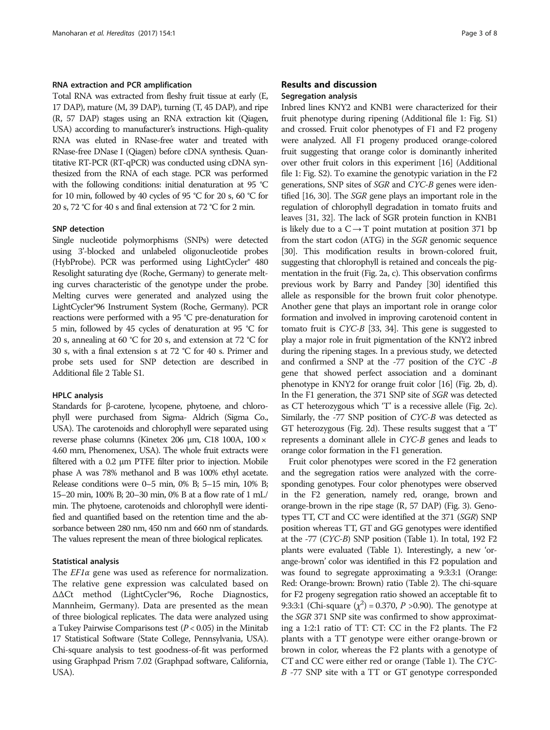## RNA extraction and PCR amplification

Total RNA was extracted from fleshy fruit tissue at early (E, 17 DAP), mature (M, 39 DAP), turning (T, 45 DAP), and ripe (R, 57 DAP) stages using an RNA extraction kit (Qiagen, USA) according to manufacturer's instructions. High-quality RNA was eluted in RNase-free water and treated with RNase-free DNase I (Qiagen) before cDNA synthesis. Quantitative RT-PCR (RT-qPCR) was conducted using cDNA synthesized from the RNA of each stage. PCR was performed with the following conditions: initial denaturation at 95 °C for 10 min, followed by 40 cycles of 95 °C for 20 s, 60 °C for 20 s, 72 °C for 40 s and final extension at 72 °C for 2 min.

### SNP detection

Single nucleotide polymorphisms (SNPs) were detected using 3'-blocked and unlabeled oligonucleotide probes (HybProbe). PCR was performed using LightCycler® 480 Resolight saturating dye (Roche, Germany) to generate melting curves characteristic of the genotype under the probe. Melting curves were generated and analyzed using the LightCycler®96 Instrument System (Roche, Germany). PCR reactions were performed with a 95 °C pre-denaturation for 5 min, followed by 45 cycles of denaturation at 95 °C for 20 s, annealing at 60 °C for 20 s, and extension at 72 °C for 30 s, with a final extension s at 72 °C for 40 s. Primer and probe sets used for SNP detection are described in Additional file [2](#page-6-0) Table S1.

#### HPLC analysis

Standards for β-carotene, lycopene, phytoene, and chlorophyll were purchased from Sigma- Aldrich (Sigma Co., USA). The carotenoids and chlorophyll were separated using reverse phase columns (Kinetex 206 μm, C18 100A, 100 × 4.60 mm, Phenomenex, USA). The whole fruit extracts were filtered with a 0.2 μm PTFE filter prior to injection. Mobile phase A was 78% methanol and B was 100% ethyl acetate. Release conditions were 0–5 min, 0% B; 5–15 min, 10% B; 15–20 min, 100% B; 20–30 min, 0% B at a flow rate of 1 mL/ min. The phytoene, carotenoids and chlorophyll were identified and quantified based on the retention time and the absorbance between 280 nm, 450 nm and 660 nm of standards. The values represent the mean of three biological replicates.

#### Statistical analysis

The  $EPIa$  gene was used as reference for normalization. The relative gene expression was calculated based on ΔΔCt method (LightCycler®96, Roche Diagnostics, Mannheim, Germany). Data are presented as the mean of three biological replicates. The data were analyzed using a Tukey Pairwise Comparisons test ( $P < 0.05$ ) in the Minitab 17 Statistical Software (State College, Pennsylvania, USA). Chi-square analysis to test goodness-of-fit was performed using Graphpad Prism 7.02 (Graphpad software, California, USA).

## Results and discussion Segregation analysis

Inbred lines KNY2 and KNB1 were characterized for their fruit phenotype during ripening (Additional file [1:](#page-6-0) Fig. S1) and crossed. Fruit color phenotypes of F1 and F2 progeny were analyzed. All F1 progeny produced orange-colored fruit suggesting that orange color is dominantly inherited over other fruit colors in this experiment [\[16](#page-6-0)] (Additional file [1:](#page-6-0) Fig. S2). To examine the genotypic variation in the F2 generations, SNP sites of SGR and CYC-B genes were identified [\[16, 30\]](#page-6-0). The SGR gene plays an important role in the regulation of chlorophyll degradation in tomato fruits and leaves [[31](#page-7-0), [32\]](#page-7-0). The lack of SGR protein function in KNB1 is likely due to a  $C \rightarrow T$  point mutation at position 371 bp from the start codon (ATG) in the SGR genomic sequence [[30](#page-6-0)]. This modification results in brown-colored fruit, suggesting that chlorophyll is retained and conceals the pigmentation in the fruit (Fig. [2a, c\)](#page-3-0). This observation confirms previous work by Barry and Pandey [\[30](#page-6-0)] identified this allele as responsible for the brown fruit color phenotype. Another gene that plays an important role in orange color formation and involved in improving carotenoid content in tomato fruit is CYC-B [[33](#page-7-0), [34\]](#page-7-0). This gene is suggested to play a major role in fruit pigmentation of the KNY2 inbred during the ripening stages. In a previous study, we detected and confirmed a SNP at the -77 position of the CYC -B gene that showed perfect association and a dominant phenotype in KNY2 for orange fruit color [\[16](#page-6-0)] (Fig. [2b, d](#page-3-0)). In the F1 generation, the 371 SNP site of SGR was detected as CT heterozygous which 'T' is a recessive allele (Fig. [2c\)](#page-3-0). Similarly, the -77 SNP position of CYC-B was detected as GT heterozygous (Fig. [2d](#page-3-0)). These results suggest that a 'T' represents a dominant allele in CYC-B genes and leads to orange color formation in the F1 generation.

Fruit color phenotypes were scored in the F2 generation and the segregation ratios were analyzed with the corresponding genotypes. Four color phenotypes were observed in the F2 generation, namely red, orange, brown and orange-brown in the ripe stage (R, 57 DAP) (Fig. [3\)](#page-3-0). Genotypes TT, CT and CC were identified at the 371 (SGR) SNP position whereas TT, GT and GG genotypes were identified at the -77 (CYC-B) SNP position (Table [1\)](#page-4-0). In total, 192 F2 plants were evaluated (Table [1\)](#page-4-0). Interestingly, a new 'orange-brown' color was identified in this F2 population and was found to segregate approximating a 9:3:3:1 (Orange: Red: Orange-brown: Brown) ratio (Table [2](#page-4-0)). The chi-square for F2 progeny segregation ratio showed an acceptable fit to 9:3:3:1 (Chi-square  $(\chi^2)$  = 0.370, *P* > 0.90). The genotype at the SGR 371 SNP site was confirmed to show approximating a 1:2:1 ratio of TT: CT: CC in the F2 plants. The F2 plants with a TT genotype were either orange-brown or brown in color, whereas the F2 plants with a genotype of CT and CC were either red or orange (Table [1\)](#page-4-0). The CYC-B -77 SNP site with a TT or GT genotype corresponded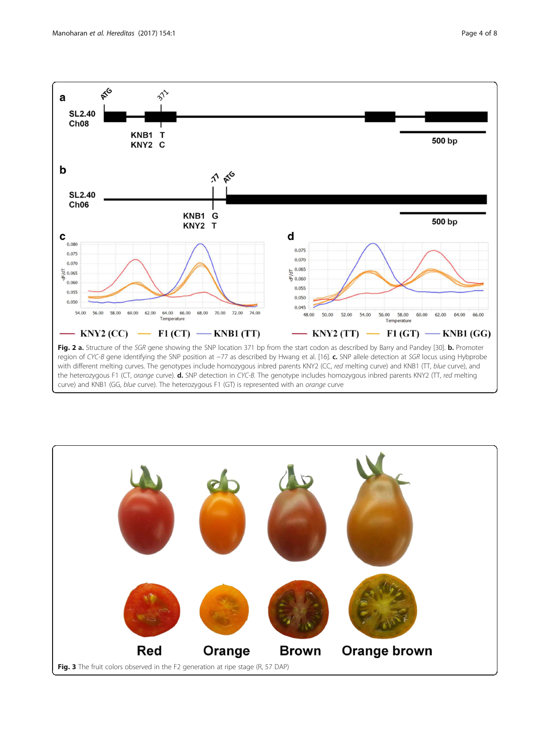<span id="page-3-0"></span>

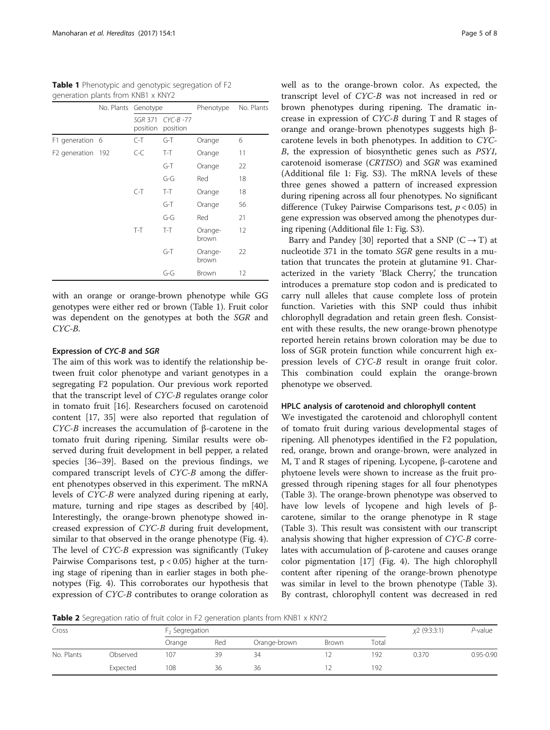|                   | No. Plants Genotype        |                         | Phenotype        | No. Plants |
|-------------------|----------------------------|-------------------------|------------------|------------|
|                   | <b>SGR 371</b><br>position | $CYC-B -77$<br>position |                  |            |
| F1 generation 6   | $C-T$                      | $G-T$                   | Orange           | 6          |
| F2 generation 192 | $C-C$                      | $T-T$                   | Orange           | 11         |
|                   |                            | G-T                     | Orange           | 22         |
|                   |                            | G-G                     | Red              | 18         |
|                   | $C-T$                      | $T-T$                   | Orange           | 18         |
|                   |                            | $G-T$                   | Orange           | 56         |
|                   |                            | G-G                     | Red              | 21         |
|                   | $T-T$                      | $T-T$                   | Orange-<br>brown | 12         |
|                   |                            | G-T                     | Orange-<br>brown | 22         |
|                   |                            | G-G                     | Brown            | 12         |

<span id="page-4-0"></span>Table 1 Phenotypic and genotypic segregation of F2 generation plants from KNR1 x KNV2

with an orange or orange-brown phenotype while GG genotypes were either red or brown (Table 1). Fruit color was dependent on the genotypes at both the SGR and CYC-B.

## Expression of CYC-B and SGR

The aim of this work was to identify the relationship between fruit color phenotype and variant genotypes in a segregating F2 population. Our previous work reported that the transcript level of CYC-B regulates orange color in tomato fruit [\[16](#page-6-0)]. Researchers focused on carotenoid content [[17,](#page-6-0) [35\]](#page-7-0) were also reported that regulation of CYC-B increases the accumulation of β-carotene in the tomato fruit during ripening. Similar results were observed during fruit development in bell pepper, a related species [[36](#page-7-0)–[39](#page-7-0)]. Based on the previous findings, we compared transcript levels of CYC-B among the different phenotypes observed in this experiment. The mRNA levels of CYC-B were analyzed during ripening at early, mature, turning and ripe stages as described by [\[40](#page-7-0)]. Interestingly, the orange-brown phenotype showed increased expression of CYC-B during fruit development, similar to that observed in the orange phenotype (Fig. [4](#page-5-0)). The level of CYC-B expression was significantly (Tukey Pairwise Comparisons test,  $p < 0.05$ ) higher at the turning stage of ripening than in earlier stages in both phenotypes (Fig. [4\)](#page-5-0). This corroborates our hypothesis that expression of CYC-B contributes to orange coloration as well as to the orange-brown color. As expected, the transcript level of CYC-B was not increased in red or brown phenotypes during ripening. The dramatic increase in expression of CYC-B during T and R stages of orange and orange-brown phenotypes suggests high βcarotene levels in both phenotypes. In addition to CYC-B, the expression of biosynthetic genes such as PSY1, carotenoid isomerase (CRTISO) and SGR was examined (Additional file [1:](#page-6-0) Fig. S3). The mRNA levels of these three genes showed a pattern of increased expression during ripening across all four phenotypes. No significant difference (Tukey Pairwise Comparisons test,  $p < 0.05$ ) in gene expression was observed among the phenotypes during ripening (Additional file [1](#page-6-0): Fig. S3).

Barry and Pandey [\[30\]](#page-6-0) reported that a SNP ( $C \rightarrow T$ ) at nucleotide 371 in the tomato SGR gene results in a mutation that truncates the protein at glutamine 91. Characterized in the variety 'Black Cherry,' the truncation introduces a premature stop codon and is predicated to carry null alleles that cause complete loss of protein function. Varieties with this SNP could thus inhibit chlorophyll degradation and retain green flesh. Consistent with these results, the new orange-brown phenotype reported herein retains brown coloration may be due to loss of SGR protein function while concurrent high expression levels of CYC-B result in orange fruit color. This combination could explain the orange-brown phenotype we observed.

## HPLC analysis of carotenoid and chlorophyll content

We investigated the carotenoid and chlorophyll content of tomato fruit during various developmental stages of ripening. All phenotypes identified in the F2 population, red, orange, brown and orange-brown, were analyzed in M, T and R stages of ripening. Lycopene, β-carotene and phytoene levels were shown to increase as the fruit progressed through ripening stages for all four phenotypes (Table [3](#page-5-0)). The orange-brown phenotype was observed to have low levels of lycopene and high levels of βcarotene, similar to the orange phenotype in R stage (Table [3\)](#page-5-0). This result was consistent with our transcript analysis showing that higher expression of CYC-B correlates with accumulation of β-carotene and causes orange color pigmentation [[17\]](#page-6-0) (Fig. [4](#page-5-0)). The high chlorophyll content after ripening of the orange-brown phenotype was similar in level to the brown phenotype (Table [3](#page-5-0)). By contrast, chlorophyll content was decreased in red

Table 2 Segregation ratio of fruit color in F2 generation plants from KNB1 x KNY2

| Cross      |          |        | $F2$ Segregation |              |              |       |       | P-value       |
|------------|----------|--------|------------------|--------------|--------------|-------|-------|---------------|
|            |          | Orange | Red              | Orange-brown | <b>Brown</b> | Total |       |               |
| No. Plants | Observed | 107    | 39               | 34           | ∸            | 192   | 0.370 | $0.95 - 0.90$ |
|            | Expected | 108    | 36               | 36           |              | 192   |       |               |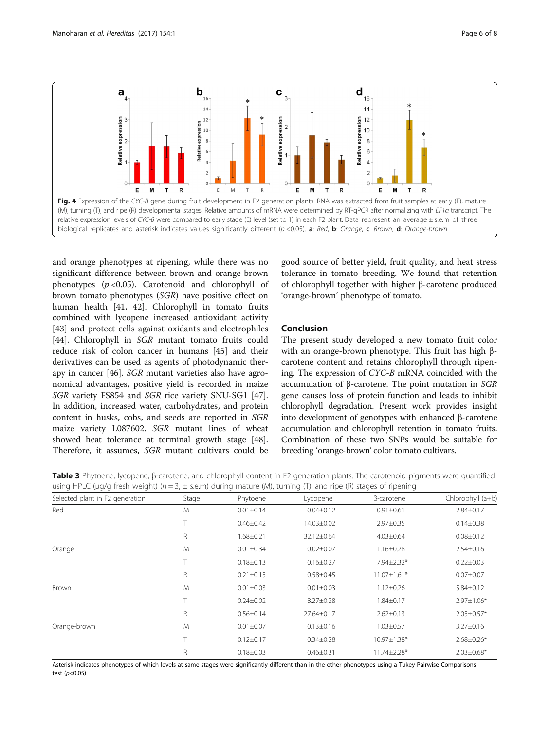<span id="page-5-0"></span>

and orange phenotypes at ripening, while there was no significant difference between brown and orange-brown phenotypes  $(p < 0.05)$ . Carotenoid and chlorophyll of brown tomato phenotypes (SGR) have positive effect on human health [[41, 42\]](#page-7-0). Chlorophyll in tomato fruits combined with lycopene increased antioxidant activity [[43\]](#page-7-0) and protect cells against oxidants and electrophiles [[44\]](#page-7-0). Chlorophyll in SGR mutant tomato fruits could reduce risk of colon cancer in humans [[45\]](#page-7-0) and their derivatives can be used as agents of photodynamic therapy in cancer [[46](#page-7-0)]. SGR mutant varieties also have agronomical advantages, positive yield is recorded in maize SGR variety FS854 and SGR rice variety SNU-SG1 [\[47](#page-7-0)]. In addition, increased water, carbohydrates, and protein content in husks, cobs, and seeds are reported in SGR maize variety L087602. SGR mutant lines of wheat showed heat tolerance at terminal growth stage [\[48](#page-7-0)]. Therefore, it assumes, SGR mutant cultivars could be

good source of better yield, fruit quality, and heat stress tolerance in tomato breeding. We found that retention of chlorophyll together with higher β-carotene produced 'orange-brown' phenotype of tomato.

## Conclusion

The present study developed a new tomato fruit color with an orange-brown phenotype. This fruit has high βcarotene content and retains chlorophyll through ripening. The expression of CYC-B mRNA coincided with the accumulation of β-carotene. The point mutation in SGR gene causes loss of protein function and leads to inhibit chlorophyll degradation. Present work provides insight into development of genotypes with enhanced β-carotene accumulation and chlorophyll retention in tomato fruits. Combination of these two SNPs would be suitable for breeding 'orange-brown' color tomato cultivars.

Table 3 Phytoene, lycopene, β-carotene, and chlorophyll content in F2 generation plants. The carotenoid pigments were quantified using HPLC ( $\mu q/q$  fresh weight) ( $n = 3$ ,  $\pm$  s.e.m) during mature (M), turning (T), and ripe (R) stages of ripening

| Selected plant in F2 generation | Stage  | Phytoene        | Lycopene        | β-carotene        | Chlorophyll (a+b) |
|---------------------------------|--------|-----------------|-----------------|-------------------|-------------------|
| Red                             | M      | $0.01 \pm 0.14$ | $0.04 \pm 0.12$ | $0.91 \pm 0.61$   | $2.84 \pm 0.17$   |
|                                 | $\top$ | $0.46 \pm 0.42$ | 14.03±0.02      | $2.97 \pm 0.35$   | $0.14 \pm 0.38$   |
|                                 | R      | $1.68 \pm 0.21$ | 32.12±0.64      | $4.03 \pm 0.64$   | $0.08 \pm 0.12$   |
| Orange                          | M      | $0.01 \pm 0.34$ | $0.02 \pm 0.07$ | $1.16 \pm 0.28$   | $2.54 \pm 0.16$   |
|                                 | $\top$ | $0.18 \pm 0.13$ | $0.16 \pm 0.27$ | 7.94±2.32*        | $0.22 \pm 0.03$   |
|                                 | R      | $0.21 \pm 0.15$ | $0.58 \pm 0.45$ | $11.07 \pm 1.61*$ | $0.07 \pm 0.07$   |
| Brown                           | M      | $0.01 \pm 0.03$ | $0.01 \pm 0.03$ | $1.12 \pm 0.26$   | $5.84 \pm 0.12$   |
|                                 | $\top$ | $0.24 \pm 0.02$ | $8.27 \pm 0.28$ | 1.84±0.17         | $2.97 \pm 1.06*$  |
|                                 | R      | $0.56 \pm 0.14$ | 27.64±0.17      | $2.62 \pm 0.13$   | $2.05 \pm 0.57*$  |
| Orange-brown                    | M      | $0.01 \pm 0.07$ | $0.13 \pm 0.16$ | $1.03 \pm 0.57$   | $3.27 \pm 0.16$   |
|                                 | T      | $0.12 \pm 0.17$ | $0.34 \pm 0.28$ | $10.97 \pm 1.38*$ | $2.68 \pm 0.26*$  |
|                                 | R      | $0.18 \pm 0.03$ | $0.46 \pm 0.31$ | 11.74±2.28*       | $2.03 \pm 0.68$ * |

Asterisk indicates phenotypes of which levels at same stages were significantly different than in the other phenotypes using a Tukey Pairwise Comparisons test  $(p<0.05)$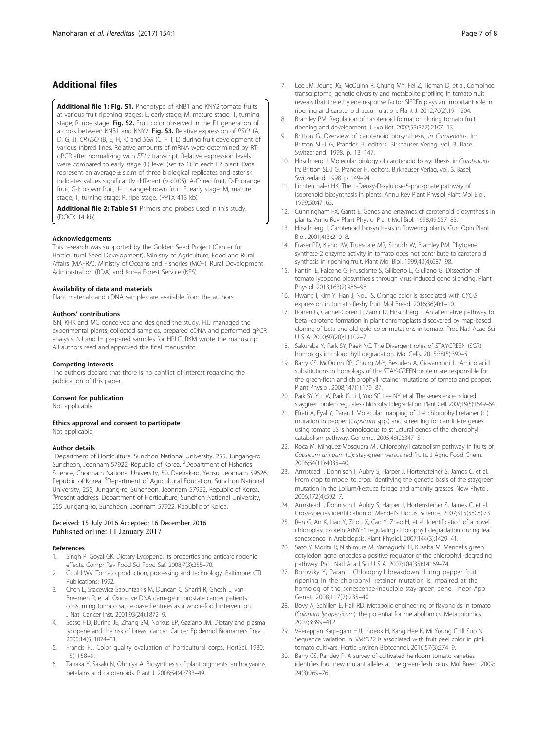## <span id="page-6-0"></span>Additional files

[Additional file 1: Fig. S1.](dx.doi.org/10.1186/s41065-016-0023-z) Phenotype of KNB1 and KNY2 tomato fruits at various fruit ripening stages. E, early stage; M, mature stage; T, turning stage; R, ripe stage. Fig. S2. Fruit color observed in the F1 generation of a cross between KNB1 and KNY2. Fig. S3. Relative expression of PSY1 (A, D, G, J), CRTISO (B, E, H, K) and SGR (C, F, I, L) during fruit development of various inbred lines. Relative amounts of mRNA were determined by RTqPCR after normalizing with EF1α transcript. Relative expression levels were compared to early stage (E) level (set to 1) in each F2 plant. Data represent an average ± s.e.m of three biological replicates and asterisk indicates values significantly different (p <0.05). A-C: red fruit, D-F: orange fruit, G-I: brown fruit, J-L: orange-brown fruit. E, early stage; M, mature stage; T, turning stage; R, ripe stage. (PPTX 413 kb)

[Additional file 2: Table S1](dx.doi.org/10.1186/s41065-016-0023-z) Primers and probes used in this study. (DOCX 14 kb)

#### Acknowledgements

This research was supported by the Golden Seed Project (Center for Horticultural Seed Development), Ministry of Agriculture, Food and Rural Affairs (MAFRA), Ministry of Oceans and Fisheries (MOF), Rural Development Administration (RDA) and Korea Forest Service (KFS).

#### Availability of data and materials

Plant materials and cDNA samples are available from the authors.

#### Authors' contributions

ISN, KHK and MC conceived and designed the study. HJJ managed the experimental plants, collected samples, prepared cDNA and performed qPCR analysis. NJ and IH prepared samples for HPLC. RKM wrote the manuscript. All authors read and approved the final manuscript.

#### Competing interests

The authors declare that there is no conflict of interest regarding the publication of this paper.

#### Consent for publication

Not applicable.

#### Ethics approval and consent to participate Not applicable.

#### Author details

<sup>1</sup>Department of Horticulture, Sunchon National University, 255, Jungang-ro, Suncheon, Jeonnam 57922, Republic of Korea. <sup>2</sup>Department of Fisheries Science, Chonnam National University, 50, Daehak-ro, Yeosu, Jeonnam 59626, Republic of Korea. <sup>3</sup>Department of Agricultural Education, Sunchon National University, 255, Jungang-ro, Suncheon, Jeonnam 57922, Republic of Korea. 4 Present address: Department of Horticulture, Sunchon National University, 255 Jungang-ro, Suncheon, Jeonnam 57922, Republic of Korea.

## Received: 15 July 2016 Accepted: 16 December 2016 Published online: 11 January 2017

#### References

- 1. Singh P, Goyal GK. Dietary Lycopene: its properties and anticarcinogenic effects. Compr Rev Food Sci Food Saf. 2008;7(3):255–70.
- 2. Gould WV. Tomato production, processing and technology. Baltimore: CTI Publications; 1992
- 3. Chen L, Stacewicz-Sapuntzakis M, Duncan C, Sharifi R, Ghosh L, van Breemen R, et al. Oxidative DNA damage in prostate cancer patients consuming tomato sauce-based entrees as a whole-food intervention. J Natl Cancer Inst. 2001;93(24):1872–9.
- 4. Sesso HD, Buring JE, Zhang SM, Norkus EP, Gaziano JM. Dietary and plasma lycopene and the risk of breast cancer. Cancer Epidemiol Biomarkers Prev. 2005;14(5):1074–81.
- Francis FJ. Color quality evaluation of horticultural corps. HortSci. 1980; 15(1):58–9.
- 6. Tanaka Y, Sasaki N, Ohmiya A. Biosynthesis of plant pigments: anthocyanins, betalains and carotenoids. Plant J. 2008;54(4):733–49.
- 7. Lee JM, Joung JG, McQuinn R, Chung MY, Fei Z, Tieman D, et al. Combined transcriptome, genetic diversity and metabolite profiling in tomato fruit reveals that the ethylene response factor SlERF6 plays an important role in ripening and carotenoid accumulation. Plant J. 2012;70(2):191–204.
- 8. Bramley PM. Regulation of carotenoid formation during tomato fruit ripening and development. J Exp Bot. 2002;53(377):2107–13.
- Britton G. Overview of carotenoid biosynthesis, in Carotenoids. In: Britton SL-J G, Pfander H, editors. Birkhauser Verlag, vol. 3. Basel, Switzerland. 1998. p. 13–147.
- 10. Hirschberg J. Molecular biology of carotenoid biosynthesis, in Carotenoids. In: Britton SL-J G, Pfander H, editors. Birkhauser Verlag, vol. 3. Basel, Switzerland. 1998. p. 149–94.
- 11. Lichtenthaler HK. The 1-Deoxy-D-xylulose-5-phosphate pathway of isoprenoid biosynthesis in plants. Annu Rev Plant Physiol Plant Mol Biol. 1999;50:47–65.
- 12. Cunningham FX, Gantt E. Genes and enzymes of carotenoid biosynthesis in plants. Annu Rev Plant Physiol Plant Mol Biol. 1998;49:557–83.
- 13. Hirschberg J. Carotenoid biosynthesis in flowering plants. Curr Opin Plant Biol. 2001;4(3):210–8.
- 14. Fraser PD, Kiano JW, Truesdale MR, Schuch W, Bramley PM. Phytoene synthase-2 enzyme activity in tomato does not contribute to carotenoid synthesis in ripening fruit. Plant Mol Biol. 1999;40(4):687–98.
- 15. Fantini E, Falcone G, Frusciante S, Giliberto L, Giuliano G. Dissection of tomato lycopene biosynthesis through virus-induced gene silencing. Plant Physiol. 2013;163(2):986–98.
- 16. Hwang I, Kim Y, Han J, Nou IS. Orange color is associated with CYC-B expression in tomato fleshy fruit. Mol Breed. 2016;36(4):1–10.
- 17. Ronen G, Carmel-Goren L, Zamir D, Hirschberg J. An alternative pathway to beta -carotene formation in plant chromoplasts discovered by map-based cloning of beta and old-gold color mutations in tomato. Proc Natl Acad Sci U S A. 2000;97(20):11102–7.
- 18. Sakuraba Y, Park SY, Paek NC. The Divergent roles of STAYGREEN (SGR) homologs in chlorophyll degradation. Mol Cells. 2015;38(5):390–5.
- 19. Barry CS, McQuinn RP, Chung M-Y, Besuden A, Giovannoni JJ. Amino acid substitutions in homologs of the STAY-GREEN protein are responsible for the green-flesh and chlorophyll retainer mutations of tomato and pepper. Plant Physiol. 2008;147(1):179–87.
- 20. Park SY, Yu JW, Park JS, Li J, Yoo SC, Lee NY, et al. The senescence-induced staygreen protein regulates chlorophyll degradation. Plant Cell. 2007;19(5):1649–64.
- 21. Efrati A, Eyal Y, Paran I. Molecular mapping of the chlorophyll retainer (cl) mutation in pepper (Capsicum spp.) and screening for candidate genes using tomato ESTs homologous to structural genes of the chlorophyll catabolism pathway. Genome. 2005;48(2):347–51.
- 22. Roca M, Minguez-Mosquera MI. Chlorophyll catabolism pathway in fruits of Capsicum annuum (L.): stay-green versus red fruits. J Agric Food Chem. 2006;54(11):4035–40.
- 23. Armstead I, Donnison I, Aubry S, Harper J, Hortensteiner S, James C, et al. From crop to model to crop: identifying the genetic basis of the staygreen mutation in the Lolium/Festuca forage and amenity grasses. New Phytol. 2006;172(4):592–7.
- 24. Armstead I, Donnison I, Aubry S, Harper J, Hortensteiner S, James C, et al. Cross-species identification of Mendel's I locus. Science. 2007;315(5808):73.
- 25. Ren G, An K, Liao Y, Zhou X, Cao Y, Zhao H, et al. Identification of a novel chloroplast protein AtNYE1 regulating chlorophyll degradation during leaf senescence in Arabidopsis. Plant Physiol. 2007;144(3):1429–41.
- 26. Sato Y, Morita R, Nishimura M, Yamaguchi H, Kusaba M. Mendel's green cotyledon gene encodes a positive regulator of the chlorophyll-degrading pathway. Proc Natl Acad Sci U S A. 2007;104(35):14169–74.
- 27. Borovsky Y, Paran I. Chlorophyll breakdown during pepper fruit ripening in the chlorophyll retainer mutation is impaired at the homolog of the senescence-inducible stay-green gene. Theor Appl Genet. 2008;117(2):235–40.
- 28. Bovy A, Schijlen E, Hall RD. Metabolic engineering of flavonoids in tomato (Solanum lycopersicum): the potential for metabolomics. Metabolomics. 2007;3:399–412.
- 29. Veerappan Karpagam HJJ, Indeok H, Kang Hee K, Mi Young C, Ill Sup N. Sequence variation in SlMYB12 is associated with fruit peel color in pink tomato cultivars. Hortic Environ Biotechnol. 2016;57(3):274–9.
- Barry CS, Pandey P. A survey of cultivated heirloom tomato varieties identifies four new mutant alleles at the green-flesh locus. Mol Breed. 2009; 24(3):269–76.